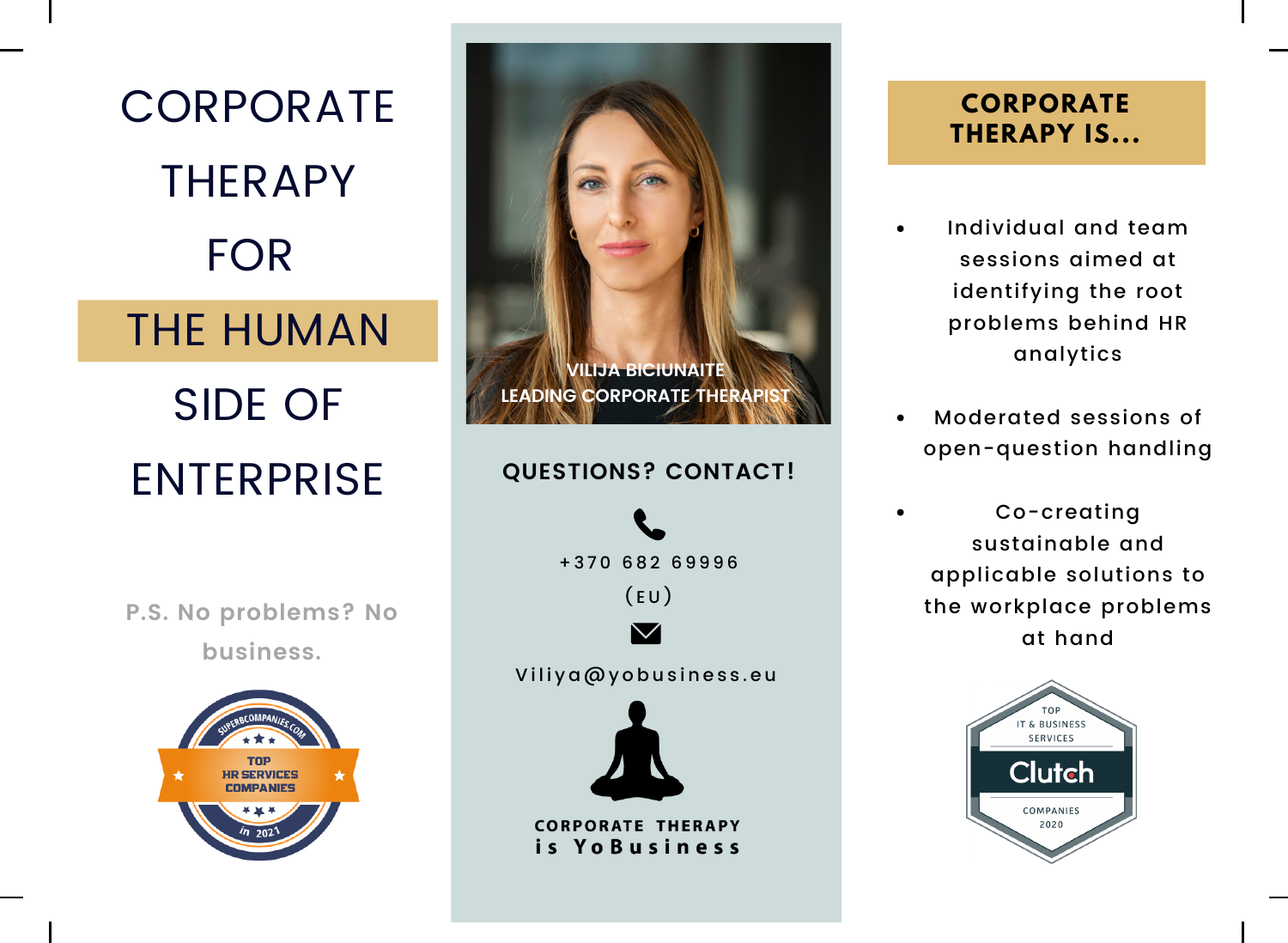

**P.S. No problems? No business.**



# + 3 7 0 6 8 2 6 9 9 9 6  $(EU)$ Viliya@yobusiness.eu **QUESTIONS? CONTACT! VILIJA BICIUNAITE LEADING CORPORATE THERAP**

**CORPORATE THERAPY** is YoBusiness

# **CORPORATE THERAPY IS...**

- Individual and team sessions aimed at identifying the root problems behind HR analytics
- Moderated sessions of open-question handling
- Co-creating sustainable and applicable solutions to the workplace problems at hand